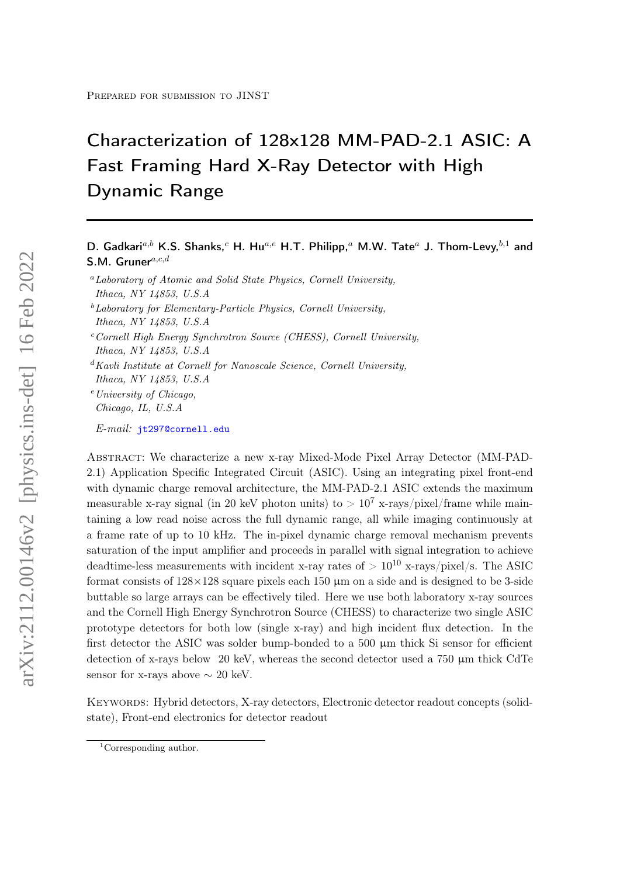# Characterization of 128x128 MM-PAD-2.1 ASIC: A Fast Framing Hard X-Ray Detector with High Dynamic Range

# D. Gadkari<sup>a,b</sup> K.S. Shanks,<sup>c</sup> H. Hu<sup>a,e</sup> H.T. Philipp,<sup>a</sup> M.W. Tate<sup>a</sup> J. Thom-Levy,<sup>b,1</sup> and S.M. Gruner $a,c,d$

- ${}^a$ Laboratory of Atomic and Solid State Physics, Cornell University, Ithaca, NY 14853, U.S.A
- $^{b}$ Laboratory for Elementary-Particle Physics, Cornell University, Ithaca, NY 14853, U.S.A
- $c$ Cornell High Energy Synchrotron Source (CHESS), Cornell University, Ithaca, NY 14853, U.S.A
- ${}^d$ Kavli Institute at Cornell for Nanoscale Science, Cornell University, Ithaca, NY 14853, U.S.A
- $e$  University of Chicago. Chicago, IL, U.S.A

E-mail: [jt297@cornell.edu](mailto:jt297@cornell.edu)

Abstract: We characterize a new x-ray Mixed-Mode Pixel Array Detector (MM-PAD-2.1) Application Specific Integrated Circuit (ASIC). Using an integrating pixel front-end with dynamic charge removal architecture, the MM-PAD-2.1 ASIC extends the maximum measurable x-ray signal (in 20 keV photon units) to  $> 10^7$  x-rays/pixel/frame while maintaining a low read noise across the full dynamic range, all while imaging continuously at a frame rate of up to 10 kHz. The in-pixel dynamic charge removal mechanism prevents saturation of the input amplifier and proceeds in parallel with signal integration to achieve deadtime-less measurements with incident x-ray rates of  $> 10^{10}$  x-rays/pixel/s. The ASIC format consists of  $128 \times 128$  square pixels each 150  $\mu$ m on a side and is designed to be 3-side buttable so large arrays can be effectively tiled. Here we use both laboratory x-ray sources and the Cornell High Energy Synchrotron Source (CHESS) to characterize two single ASIC prototype detectors for both low (single x-ray) and high incident flux detection. In the first detector the ASIC was solder bump-bonded to a  $500 \mu m$  thick Si sensor for efficient detection of x-rays below 20 keV, whereas the second detector used a 750  $\mu$ m thick CdTe sensor for x-rays above  $\sim 20$  keV.

Keywords: Hybrid detectors, X-ray detectors, Electronic detector readout concepts (solidstate), Front-end electronics for detector readout

<sup>&</sup>lt;sup>1</sup>Corresponding author.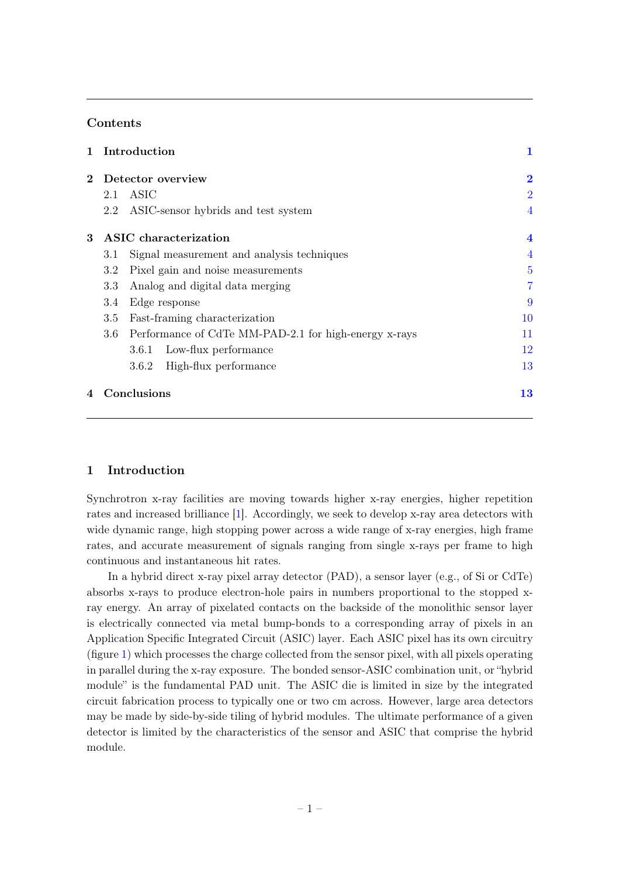# Contents

| $\mathbf{1}$ |                       | Introduction                                          | 1              |
|--------------|-----------------------|-------------------------------------------------------|----------------|
| $\mathbf{2}$ |                       | Detector overview                                     | $\bf{2}$       |
|              | 2.1                   | ASIC                                                  | $\overline{2}$ |
|              | 2.2                   | ASIC-sensor hybrids and test system                   | $\overline{4}$ |
| 3            | ASIC characterization |                                                       |                |
|              | 3.1                   | Signal measurement and analysis techniques            | $\overline{4}$ |
|              | 3.2                   | Pixel gain and noise measurements                     | $\overline{5}$ |
|              | 3.3                   | Analog and digital data merging                       | $\overline{7}$ |
|              | Edge response<br>3.4  |                                                       | 9              |
|              | 3.5                   | Fast-framing characterization                         | 10             |
|              | 3.6                   | Performance of CdTe MM-PAD-2.1 for high-energy x-rays | 11             |
|              |                       | Low-flux performance<br>3.6.1                         | 12             |
|              |                       | High-flux performance<br>3.6.2                        | 13             |
| 4            |                       | Conclusions                                           | 13             |

# <span id="page-1-0"></span>1 Introduction

Synchrotron x-ray facilities are moving towards higher x-ray energies, higher repetition rates and increased brilliance [\[1\]](#page-14-0). Accordingly, we seek to develop x-ray area detectors with wide dynamic range, high stopping power across a wide range of x-ray energies, high frame rates, and accurate measurement of signals ranging from single x-rays per frame to high continuous and instantaneous hit rates.

In a hybrid direct x-ray pixel array detector (PAD), a sensor layer (e.g., of Si or CdTe) absorbs x-rays to produce electron-hole pairs in numbers proportional to the stopped xray energy. An array of pixelated contacts on the backside of the monolithic sensor layer is electrically connected via metal bump-bonds to a corresponding array of pixels in an Application Specific Integrated Circuit (ASIC) layer. Each ASIC pixel has its own circuitry (figure [1\)](#page-3-0) which processes the charge collected from the sensor pixel, with all pixels operating in parallel during the x-ray exposure. The bonded sensor-ASIC combination unit, or "hybrid module" is the fundamental PAD unit. The ASIC die is limited in size by the integrated circuit fabrication process to typically one or two cm across. However, large area detectors may be made by side-by-side tiling of hybrid modules. The ultimate performance of a given detector is limited by the characteristics of the sensor and ASIC that comprise the hybrid module.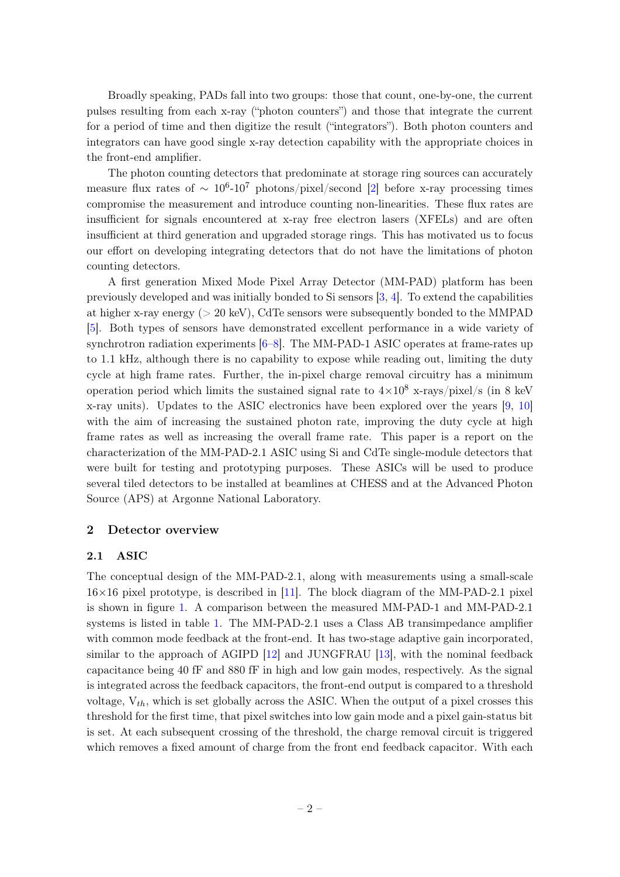Broadly speaking, PADs fall into two groups: those that count, one-by-one, the current pulses resulting from each x-ray ("photon counters") and those that integrate the current for a period of time and then digitize the result ("integrators"). Both photon counters and integrators can have good single x-ray detection capability with the appropriate choices in the front-end amplifier.

The photon counting detectors that predominate at storage ring sources can accurately measure flux rates of  $\sim 10^6$ -10<sup>7</sup> photons/pixel/second [\[2\]](#page-15-0) before x-ray processing times compromise the measurement and introduce counting non-linearities. These flux rates are insufficient for signals encountered at x-ray free electron lasers (XFELs) and are often insufficient at third generation and upgraded storage rings. This has motivated us to focus our effort on developing integrating detectors that do not have the limitations of photon counting detectors.

A first generation Mixed Mode Pixel Array Detector (MM-PAD) platform has been previously developed and was initially bonded to Si sensors [\[3,](#page-15-1) [4\]](#page-15-2). To extend the capabilities at higher x-ray energy ( $> 20 \text{ keV}$ ), CdTe sensors were subsequently bonded to the MMPAD [\[5\]](#page-15-3). Both types of sensors have demonstrated excellent performance in a wide variety of synchrotron radiation experiments [\[6](#page-15-4)[–8\]](#page-15-5). The MM-PAD-1 ASIC operates at frame-rates up to 1.1 kHz, although there is no capability to expose while reading out, limiting the duty cycle at high frame rates. Further, the in-pixel charge removal circuitry has a minimum operation period which limits the sustained signal rate to  $4\times10^8$  x-rays/pixel/s (in 8 keV x-ray units). Updates to the ASIC electronics have been explored over the years [\[9,](#page-15-6) [10\]](#page-15-7) with the aim of increasing the sustained photon rate, improving the duty cycle at high frame rates as well as increasing the overall frame rate. This paper is a report on the characterization of the MM-PAD-2.1 ASIC using Si and CdTe single-module detectors that were built for testing and prototyping purposes. These ASICs will be used to produce several tiled detectors to be installed at beamlines at CHESS and at the Advanced Photon Source (APS) at Argonne National Laboratory.

## <span id="page-2-0"></span>2 Detector overview

#### <span id="page-2-1"></span>2.1 ASIC

The conceptual design of the MM-PAD-2.1, along with measurements using a small-scale  $16\times16$  pixel prototype, is described in [\[11\]](#page-15-8). The block diagram of the MM-PAD-2.1 pixel is shown in figure [1.](#page-3-0) A comparison between the measured MM-PAD-1 and MM-PAD-2.1 systems is listed in table [1.](#page-4-3) The MM-PAD-2.1 uses a Class AB transimpedance amplifier with common mode feedback at the front-end. It has two-stage adaptive gain incorporated, similar to the approach of AGIPD [\[12\]](#page-15-9) and JUNGFRAU [\[13\]](#page-15-10), with the nominal feedback capacitance being 40 fF and 880 fF in high and low gain modes, respectively. As the signal is integrated across the feedback capacitors, the front-end output is compared to a threshold voltage,  $V_{th}$ , which is set globally across the ASIC. When the output of a pixel crosses this threshold for the first time, that pixel switches into low gain mode and a pixel gain-status bit is set. At each subsequent crossing of the threshold, the charge removal circuit is triggered which removes a fixed amount of charge from the front end feedback capacitor. With each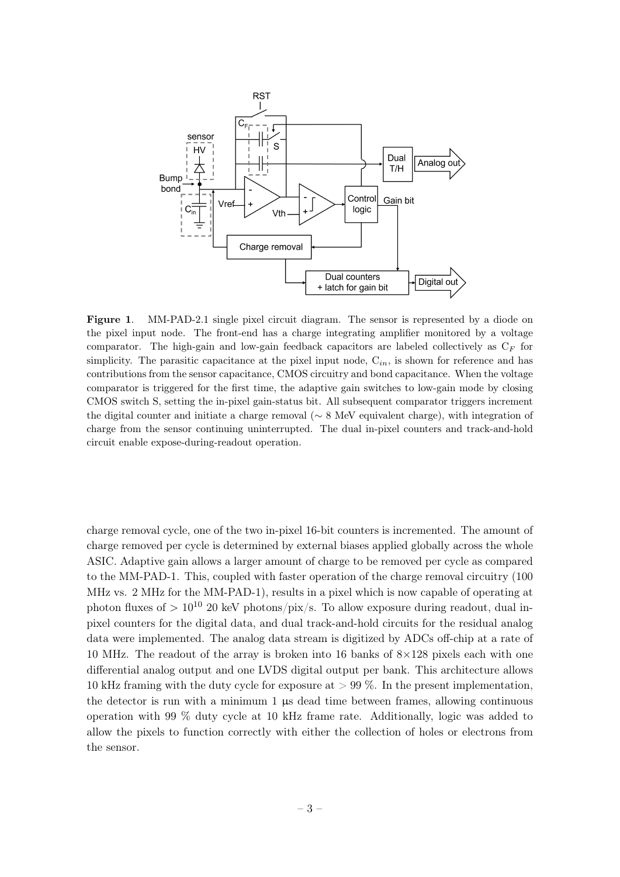

<span id="page-3-0"></span>Figure 1. MM-PAD-2.1 single pixel circuit diagram. The sensor is represented by a diode on the pixel input node. The front-end has a charge integrating amplifier monitored by a voltage comparator. The high-gain and low-gain feedback capacitors are labeled collectively as  $C_F$  for simplicity. The parasitic capacitance at the pixel input node,  $C_{in}$ , is shown for reference and has contributions from the sensor capacitance, CMOS circuitry and bond capacitance. When the voltage comparator is triggered for the first time, the adaptive gain switches to low-gain mode by closing CMOS switch S, setting the in-pixel gain-status bit. All subsequent comparator triggers increment the digital counter and initiate a charge removal (∼ 8 MeV equivalent charge), with integration of charge from the sensor continuing uninterrupted. The dual in-pixel counters and track-and-hold circuit enable expose-during-readout operation.

charge removal cycle, one of the two in-pixel 16-bit counters is incremented. The amount of charge removed per cycle is determined by external biases applied globally across the whole ASIC. Adaptive gain allows a larger amount of charge to be removed per cycle as compared to the MM-PAD-1. This, coupled with faster operation of the charge removal circuitry (100 MHz vs. 2 MHz for the MM-PAD-1), results in a pixel which is now capable of operating at photon fluxes of  $> 10^{10}$  20 keV photons/pix/s. To allow exposure during readout, dual inpixel counters for the digital data, and dual track-and-hold circuits for the residual analog data were implemented. The analog data stream is digitized by ADCs off-chip at a rate of 10 MHz. The readout of the array is broken into 16 banks of  $8\times128$  pixels each with one differential analog output and one LVDS digital output per bank. This architecture allows 10 kHz framing with the duty cycle for exposure at  $> 99\%$ . In the present implementation, the detector is run with a minimum  $1 \mu s$  dead time between frames, allowing continuous operation with 99 % duty cycle at 10 kHz frame rate. Additionally, logic was added to allow the pixels to function correctly with either the collection of holes or electrons from the sensor.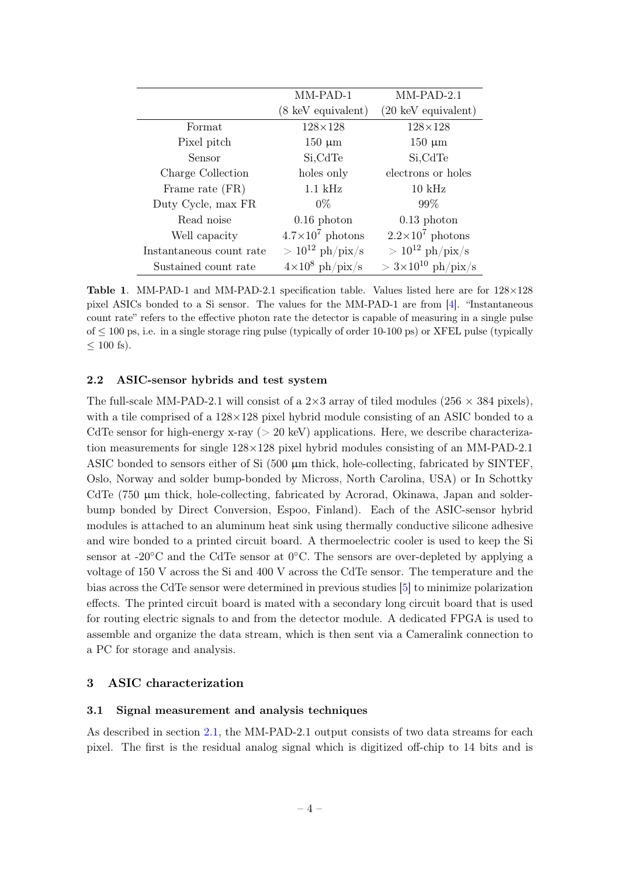|                          | MM-PAD-1                | $MM-PAD-2.1$                  |
|--------------------------|-------------------------|-------------------------------|
|                          | (8 keV equivalent)      | $(20 \text{ keV}$ equivalent) |
| Format                   | $128\times128$          | $128\times128$                |
| Pixel pitch              | $150 \mu m$             | $150 \mu m$                   |
| Sensor                   | Si, CdTe                | Si,CdTe                       |
| Charge Collection        | holes only              | electrons or holes            |
| Frame rate (FR)          | $1.1$ kHz               | $10 \text{ kHz}$              |
| Duty Cycle, max FR       | $0\%$                   | 99\%                          |
| Read noise               | $0.16$ photon           | $0.13$ photon                 |
| Well capacity            | $4.7\times10^7$ photons | $2.2\times10^7$ photons       |
| Instantaneous count rate | $> 10^{12}$ ph/pix/s    | $> 10^{12}$ ph/pix/s          |
| Sustained count rate     | $4\times10^8$ ph/pix/s  | $>3\times10^{10}$ ph/pix/s    |

<span id="page-4-3"></span>Table 1. MM-PAD-1 and MM-PAD-2.1 specification table. Values listed here are for  $128\times128$ pixel ASICs bonded to a Si sensor. The values for the MM-PAD-1 are from [\[4\]](#page-15-2). "Instantaneous count rate" refers to the effective photon rate the detector is capable of measuring in a single pulse  $\text{of} \leq 100 \text{ ps}$ , i.e. in a single storage ring pulse (typically of order 10-100 ps) or XFEL pulse (typically  $\leq 100$  fs).

#### <span id="page-4-0"></span>2.2 ASIC-sensor hybrids and test system

The full-scale MM-PAD-2.1 will consist of a  $2\times3$  array of tiled modules ( $256\times384$  pixels), with a tile comprised of a  $128\times128$  pixel hybrid module consisting of an ASIC bonded to a CdTe sensor for high-energy x-ray ( $> 20 \text{ keV}$ ) applications. Here, we describe characterization measurements for single 128×128 pixel hybrid modules consisting of an MM-PAD-2.1 ASIC bonded to sensors either of Si  $(500 \mu m)$  thick, hole-collecting, fabricated by SINTEF, Oslo, Norway and solder bump-bonded by Micross, North Carolina, USA) or In Schottky CdTe (750 µm thick, hole-collecting, fabricated by Acrorad, Okinawa, Japan and solderbump bonded by Direct Conversion, Espoo, Finland). Each of the ASIC-sensor hybrid modules is attached to an aluminum heat sink using thermally conductive silicone adhesive and wire bonded to a printed circuit board. A thermoelectric cooler is used to keep the Si sensor at -20 $\degree$ C and the CdTe sensor at  $0\degree$ C. The sensors are over-depleted by applying a voltage of 150 V across the Si and 400 V across the CdTe sensor. The temperature and the bias across the CdTe sensor were determined in previous studies [\[5\]](#page-15-3) to minimize polarization effects. The printed circuit board is mated with a secondary long circuit board that is used for routing electric signals to and from the detector module. A dedicated FPGA is used to assemble and organize the data stream, which is then sent via a Cameralink connection to a PC for storage and analysis.

# <span id="page-4-1"></span>3 ASIC characterization

#### <span id="page-4-2"></span>3.1 Signal measurement and analysis techniques

As described in section [2.1,](#page-2-1) the MM-PAD-2.1 output consists of two data streams for each pixel. The first is the residual analog signal which is digitized off-chip to 14 bits and is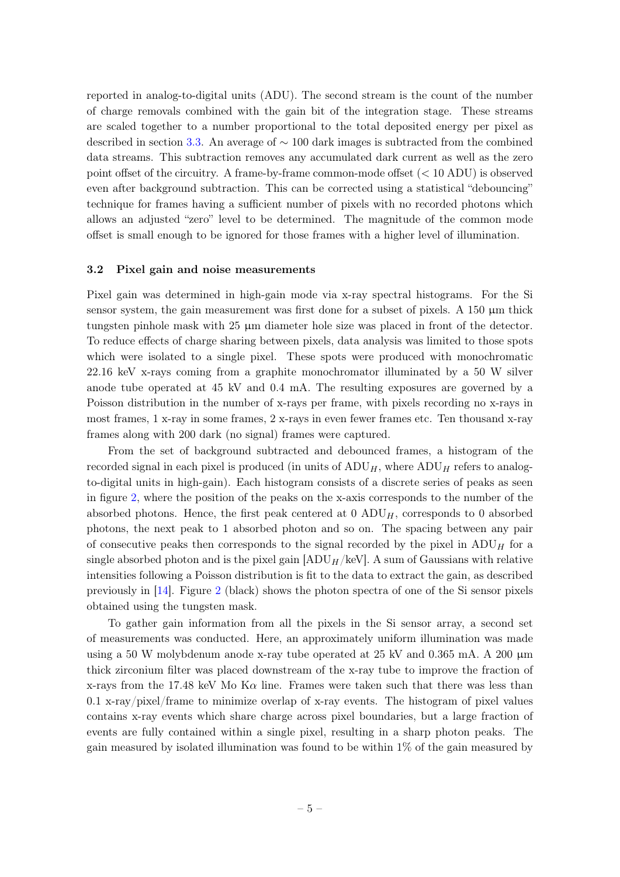reported in analog-to-digital units (ADU). The second stream is the count of the number of charge removals combined with the gain bit of the integration stage. These streams are scaled together to a number proportional to the total deposited energy per pixel as described in section [3.3.](#page-7-0) An average of ∼ 100 dark images is subtracted from the combined data streams. This subtraction removes any accumulated dark current as well as the zero point offset of the circuitry. A frame-by-frame common-mode offset (< 10 ADU) is observed even after background subtraction. This can be corrected using a statistical "debouncing" technique for frames having a sufficient number of pixels with no recorded photons which allows an adjusted "zero" level to be determined. The magnitude of the common mode offset is small enough to be ignored for those frames with a higher level of illumination.

#### <span id="page-5-0"></span>3.2 Pixel gain and noise measurements

Pixel gain was determined in high-gain mode via x-ray spectral histograms. For the Si sensor system, the gain measurement was first done for a subset of pixels. A 150  $\mu$ m thick tungsten pinhole mask with 25 µm diameter hole size was placed in front of the detector. To reduce effects of charge sharing between pixels, data analysis was limited to those spots which were isolated to a single pixel. These spots were produced with monochromatic 22.16 keV x-rays coming from a graphite monochromator illuminated by a 50 W silver anode tube operated at 45 kV and 0.4 mA. The resulting exposures are governed by a Poisson distribution in the number of x-rays per frame, with pixels recording no x-rays in most frames, 1 x-ray in some frames, 2 x-rays in even fewer frames etc. Ten thousand x-ray frames along with 200 dark (no signal) frames were captured.

From the set of background subtracted and debounced frames, a histogram of the recorded signal in each pixel is produced (in units of  $\mathrm{ADU}_H$ , where  $\mathrm{ADU}_H$  refers to analogto-digital units in high-gain). Each histogram consists of a discrete series of peaks as seen in figure [2,](#page-6-0) where the position of the peaks on the x-axis corresponds to the number of the absorbed photons. Hence, the first peak centered at  $0$  ADU<sub>H</sub>, corresponds to 0 absorbed photons, the next peak to 1 absorbed photon and so on. The spacing between any pair of consecutive peaks then corresponds to the signal recorded by the pixel in  $\text{ADU}_H$  for a single absorbed photon and is the pixel gain  $[ADU_H/keV]$ . A sum of Gaussians with relative intensities following a Poisson distribution is fit to the data to extract the gain, as described previously in [\[14\]](#page-16-0). Figure [2](#page-6-0) (black) shows the photon spectra of one of the Si sensor pixels obtained using the tungsten mask.

To gather gain information from all the pixels in the Si sensor array, a second set of measurements was conducted. Here, an approximately uniform illumination was made using a 50 W molybdenum anode x-ray tube operated at 25 kV and 0.365 mA. A 200  $\mu$ m thick zirconium filter was placed downstream of the x-ray tube to improve the fraction of x-rays from the 17.48 keV Mo K $\alpha$  line. Frames were taken such that there was less than 0.1 x-ray/pixel/frame to minimize overlap of x-ray events. The histogram of pixel values contains x-ray events which share charge across pixel boundaries, but a large fraction of events are fully contained within a single pixel, resulting in a sharp photon peaks. The gain measured by isolated illumination was found to be within 1% of the gain measured by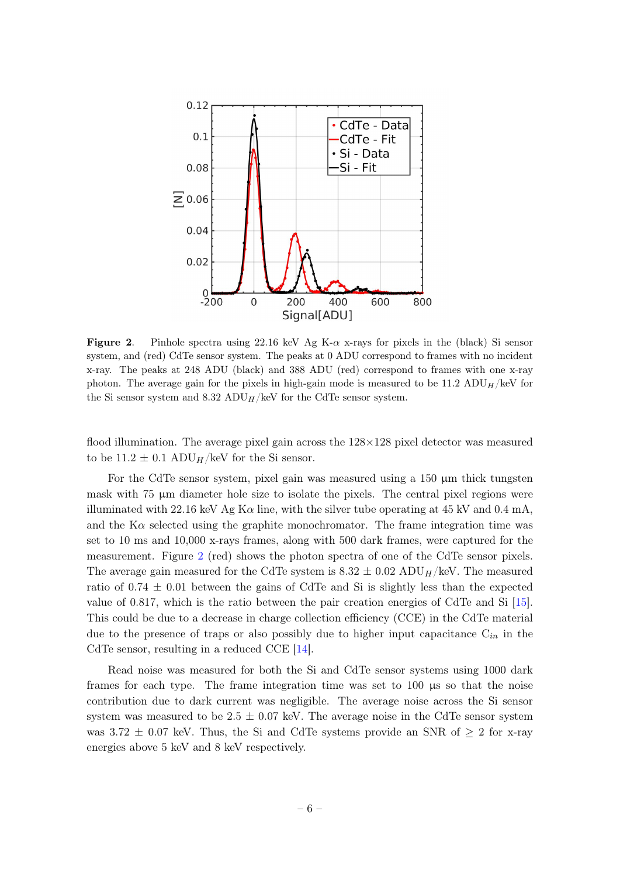

<span id="page-6-0"></span>**Figure 2.** Pinhole spectra using 22.16 keV Ag K- $\alpha$  x-rays for pixels in the (black) Si sensor system, and (red) CdTe sensor system. The peaks at 0 ADU correspond to frames with no incident x-ray. The peaks at 248 ADU (black) and 388 ADU (red) correspond to frames with one x-ray photon. The average gain for the pixels in high-gain mode is measured to be 11.2 ADU $_H$ /keV for the Si sensor system and 8.32 ADU<sub>H</sub>/keV for the CdTe sensor system.

flood illumination. The average pixel gain across the  $128\times128$  pixel detector was measured to be  $11.2 \pm 0.1$  ADU<sub>H</sub>/keV for the Si sensor.

For the CdTe sensor system, pixel gain was measured using a  $150 \mu m$  thick tungsten mask with 75 µm diameter hole size to isolate the pixels. The central pixel regions were illuminated with 22.16 keV Ag K $\alpha$  line, with the silver tube operating at 45 kV and 0.4 mA, and the  $K\alpha$  selected using the graphite monochromator. The frame integration time was set to 10 ms and 10,000 x-rays frames, along with 500 dark frames, were captured for the measurement. Figure [2](#page-6-0) (red) shows the photon spectra of one of the CdTe sensor pixels. The average gain measured for the CdTe system is  $8.32 \pm 0.02$  ADU<sub>H</sub>/keV. The measured ratio of  $0.74 \pm 0.01$  between the gains of CdTe and Si is slightly less than the expected value of 0.817, which is the ratio between the pair creation energies of CdTe and Si [\[15\]](#page-16-1). This could be due to a decrease in charge collection efficiency (CCE) in the CdTe material due to the presence of traps or also possibly due to higher input capacitance  $C_{in}$  in the CdTe sensor, resulting in a reduced CCE [\[14\]](#page-16-0).

Read noise was measured for both the Si and CdTe sensor systems using 1000 dark frames for each type. The frame integration time was set to 100 µs so that the noise contribution due to dark current was negligible. The average noise across the Si sensor system was measured to be  $2.5 \pm 0.07$  keV. The average noise in the CdTe sensor system was 3.72  $\pm$  0.07 keV. Thus, the Si and CdTe systems provide an SNR of  $\geq$  2 for x-ray energies above 5 keV and 8 keV respectively.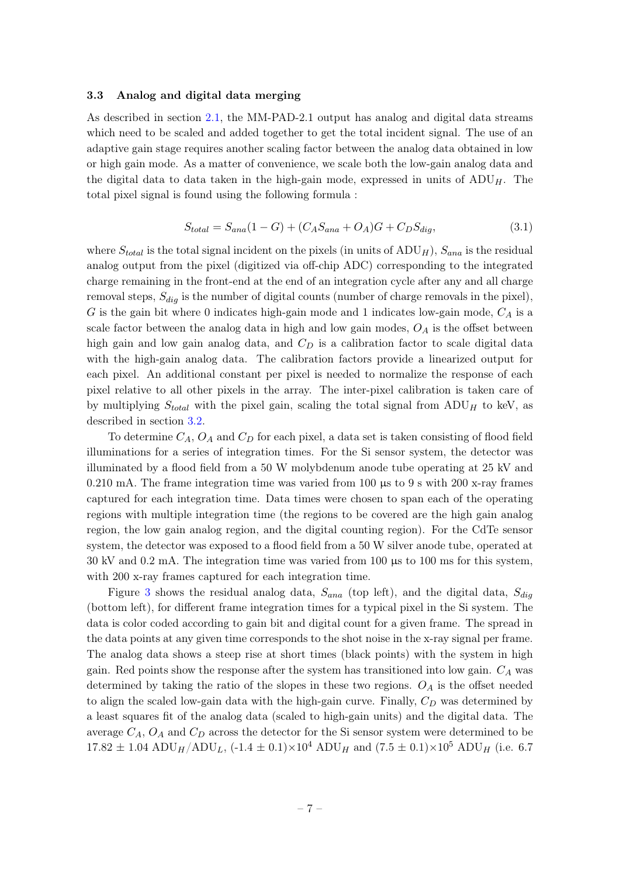#### <span id="page-7-0"></span>3.3 Analog and digital data merging

As described in section [2.1,](#page-2-1) the MM-PAD-2.1 output has analog and digital data streams which need to be scaled and added together to get the total incident signal. The use of an adaptive gain stage requires another scaling factor between the analog data obtained in low or high gain mode. As a matter of convenience, we scale both the low-gain analog data and the digital data to data taken in the high-gain mode, expressed in units of  $\text{ADU}_H$ . The total pixel signal is found using the following formula :

$$
S_{total} = S_{ana}(1 - G) + (C_A S_{ana} + O_A)G + C_D S_{dig},
$$
\n(3.1)

where  $S_{total}$  is the total signal incident on the pixels (in units of  $\text{ADU}_H$ ),  $S_{ana}$  is the residual analog output from the pixel (digitized via off-chip ADC) corresponding to the integrated charge remaining in the front-end at the end of an integration cycle after any and all charge removal steps,  $S_{diq}$  is the number of digital counts (number of charge removals in the pixel), G is the gain bit where 0 indicates high-gain mode and 1 indicates low-gain mode,  $C_A$  is a scale factor between the analog data in high and low gain modes,  $O<sub>A</sub>$  is the offset between high gain and low gain analog data, and  $C_D$  is a calibration factor to scale digital data with the high-gain analog data. The calibration factors provide a linearized output for each pixel. An additional constant per pixel is needed to normalize the response of each pixel relative to all other pixels in the array. The inter-pixel calibration is taken care of by multiplying  $S_{total}$  with the pixel gain, scaling the total signal from  $ADU_H$  to keV, as described in section [3.2.](#page-5-0)

To determine  $C_A$ ,  $O_A$  and  $C_D$  for each pixel, a data set is taken consisting of flood field illuminations for a series of integration times. For the Si sensor system, the detector was illuminated by a flood field from a 50 W molybdenum anode tube operating at 25 kV and 0.210 mA. The frame integration time was varied from 100 µs to 9 s with 200 x-ray frames captured for each integration time. Data times were chosen to span each of the operating regions with multiple integration time (the regions to be covered are the high gain analog region, the low gain analog region, and the digital counting region). For the CdTe sensor system, the detector was exposed to a flood field from a 50 W silver anode tube, operated at 30 kV and 0.2 mA. The integration time was varied from 100  $\mu$ s to 100 ms for this system, with 200 x-ray frames captured for each integration time.

Figure [3](#page-8-0) shows the residual analog data,  $S_{ana}$  (top left), and the digital data,  $S_{dig}$ (bottom left), for different frame integration times for a typical pixel in the Si system. The data is color coded according to gain bit and digital count for a given frame. The spread in the data points at any given time corresponds to the shot noise in the x-ray signal per frame. The analog data shows a steep rise at short times (black points) with the system in high gain. Red points show the response after the system has transitioned into low gain.  $C_A$  was determined by taking the ratio of the slopes in these two regions.  $O_A$  is the offset needed to align the scaled low-gain data with the high-gain curve. Finally,  $C_D$  was determined by a least squares fit of the analog data (scaled to high-gain units) and the digital data. The average  $C_A$ ,  $O_A$  and  $C_D$  across the detector for the Si sensor system were determined to be  $17.82 \pm 1.04$  ADU<sub>H</sub>/ADU<sub>L</sub>,  $(-1.4 \pm 0.1) \times 10^4$  ADU<sub>H</sub> and  $(7.5 \pm 0.1) \times 10^5$  ADU<sub>H</sub> (i.e. 6.7)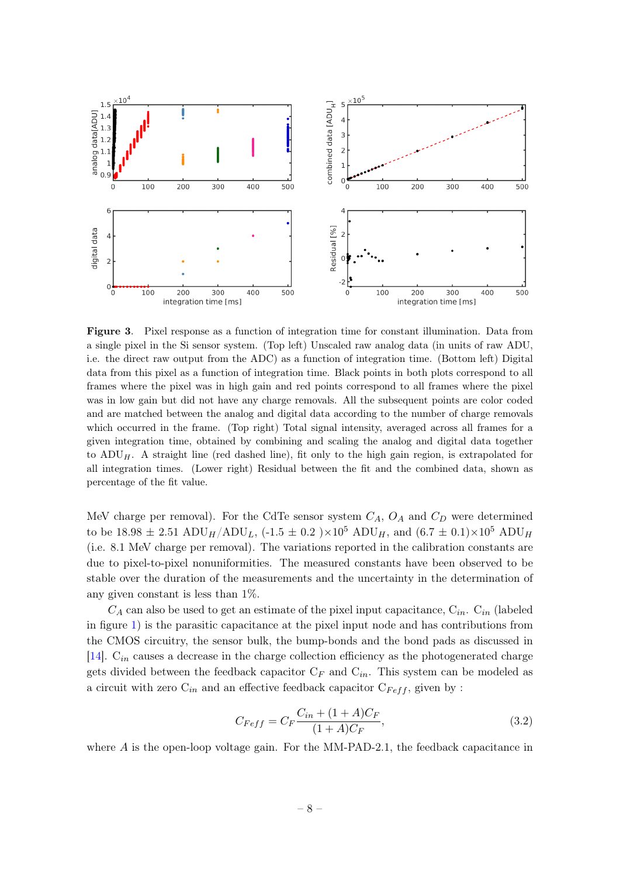

<span id="page-8-0"></span>Figure 3. Pixel response as a function of integration time for constant illumination. Data from a single pixel in the Si sensor system. (Top left) Unscaled raw analog data (in units of raw ADU, i.e. the direct raw output from the ADC) as a function of integration time. (Bottom left) Digital data from this pixel as a function of integration time. Black points in both plots correspond to all frames where the pixel was in high gain and red points correspond to all frames where the pixel was in low gain but did not have any charge removals. All the subsequent points are color coded and are matched between the analog and digital data according to the number of charge removals which occurred in the frame. (Top right) Total signal intensity, averaged across all frames for a given integration time, obtained by combining and scaling the analog and digital data together to  $\text{ADU}_H$ . A straight line (red dashed line), fit only to the high gain region, is extrapolated for all integration times. (Lower right) Residual between the fit and the combined data, shown as percentage of the fit value.

MeV charge per removal). For the CdTe sensor system  $C_A$ ,  $O_A$  and  $C_D$  were determined to be 18.98  $\pm$  2.51 ADU<sub>H</sub>/ADU<sub>L</sub>, (-1.5  $\pm$  0.2 )×10<sup>5</sup> ADU<sub>H</sub>, and (6.7  $\pm$  0.1)×10<sup>5</sup> ADU<sub>H</sub> (i.e. 8.1 MeV charge per removal). The variations reported in the calibration constants are due to pixel-to-pixel nonuniformities. The measured constants have been observed to be stable over the duration of the measurements and the uncertainty in the determination of any given constant is less than 1%.

 $C_A$  can also be used to get an estimate of the pixel input capacitance,  $C_{in}$ .  $C_{in}$  (labeled in figure [1\)](#page-3-0) is the parasitic capacitance at the pixel input node and has contributions from the CMOS circuitry, the sensor bulk, the bump-bonds and the bond pads as discussed in [\[14\]](#page-16-0).  $C_{in}$  causes a decrease in the charge collection efficiency as the photogenerated charge gets divided between the feedback capacitor  $C_F$  and  $C_{in}$ . This system can be modeled as a circuit with zero  $C_{in}$  and an effective feedback capacitor  $C_{Feff}$ , given by :

<span id="page-8-1"></span>
$$
C_{Feff} = C_F \frac{C_{in} + (1 + A)C_F}{(1 + A)C_F},
$$
\n(3.2)

where  $A$  is the open-loop voltage gain. For the MM-PAD-2.1, the feedback capacitance in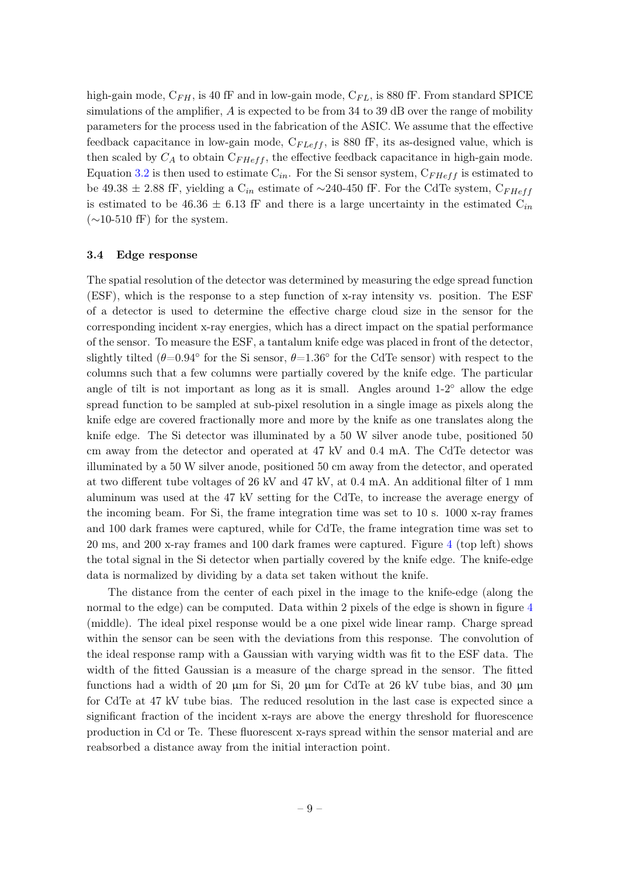high-gain mode,  $C_{FH}$ , is 40 fF and in low-gain mode,  $C_{FL}$ , is 880 fF. From standard SPICE simulations of the amplifier,  $A$  is expected to be from 34 to 39 dB over the range of mobility parameters for the process used in the fabrication of the ASIC. We assume that the effective feedback capacitance in low-gain mode,  $C_{FLeft}$ , is 880 fF, its as-designed value, which is then scaled by  $C_A$  to obtain  $C_{F H eff}$ , the effective feedback capacitance in high-gain mode. Equation [3.2](#page-8-1) is then used to estimate  $C_{in}$ . For the Si sensor system,  $C_{FHeff}$  is estimated to be 49.38 ± 2.88 fF, yielding a  $C_{in}$  estimate of ~240-450 fF. For the CdTe system,  $C_{FHeff}$ is estimated to be 46.36  $\pm$  6.13 fF and there is a large uncertainty in the estimated  $C_{in}$  $(\sim10-510 \text{ fF})$  for the system.

#### <span id="page-9-0"></span>3.4 Edge response

The spatial resolution of the detector was determined by measuring the edge spread function (ESF), which is the response to a step function of x-ray intensity vs. position. The ESF of a detector is used to determine the effective charge cloud size in the sensor for the corresponding incident x-ray energies, which has a direct impact on the spatial performance of the sensor. To measure the ESF, a tantalum knife edge was placed in front of the detector, slightly tilted ( $\theta$ =0.94° for the Si sensor,  $\theta$ =1.36° for the CdTe sensor) with respect to the columns such that a few columns were partially covered by the knife edge. The particular angle of tilt is not important as long as it is small. Angles around  $1-2°$  allow the edge spread function to be sampled at sub-pixel resolution in a single image as pixels along the knife edge are covered fractionally more and more by the knife as one translates along the knife edge. The Si detector was illuminated by a 50 W silver anode tube, positioned 50 cm away from the detector and operated at 47 kV and 0.4 mA. The CdTe detector was illuminated by a 50 W silver anode, positioned 50 cm away from the detector, and operated at two different tube voltages of 26 kV and 47 kV, at 0.4 mA. An additional filter of 1 mm aluminum was used at the 47 kV setting for the CdTe, to increase the average energy of the incoming beam. For Si, the frame integration time was set to 10 s. 1000 x-ray frames and 100 dark frames were captured, while for CdTe, the frame integration time was set to 20 ms, and 200 x-ray frames and 100 dark frames were captured. Figure [4](#page-10-1) (top left) shows the total signal in the Si detector when partially covered by the knife edge. The knife-edge data is normalized by dividing by a data set taken without the knife.

The distance from the center of each pixel in the image to the knife-edge (along the normal to the edge) can be computed. Data within 2 pixels of the edge is shown in figure [4](#page-10-1) (middle). The ideal pixel response would be a one pixel wide linear ramp. Charge spread within the sensor can be seen with the deviations from this response. The convolution of the ideal response ramp with a Gaussian with varying width was fit to the ESF data. The width of the fitted Gaussian is a measure of the charge spread in the sensor. The fitted functions had a width of 20  $\mu$ m for Si, 20  $\mu$ m for CdTe at 26 kV tube bias, and 30  $\mu$ m for CdTe at 47 kV tube bias. The reduced resolution in the last case is expected since a significant fraction of the incident x-rays are above the energy threshold for fluorescence production in Cd or Te. These fluorescent x-rays spread within the sensor material and are reabsorbed a distance away from the initial interaction point.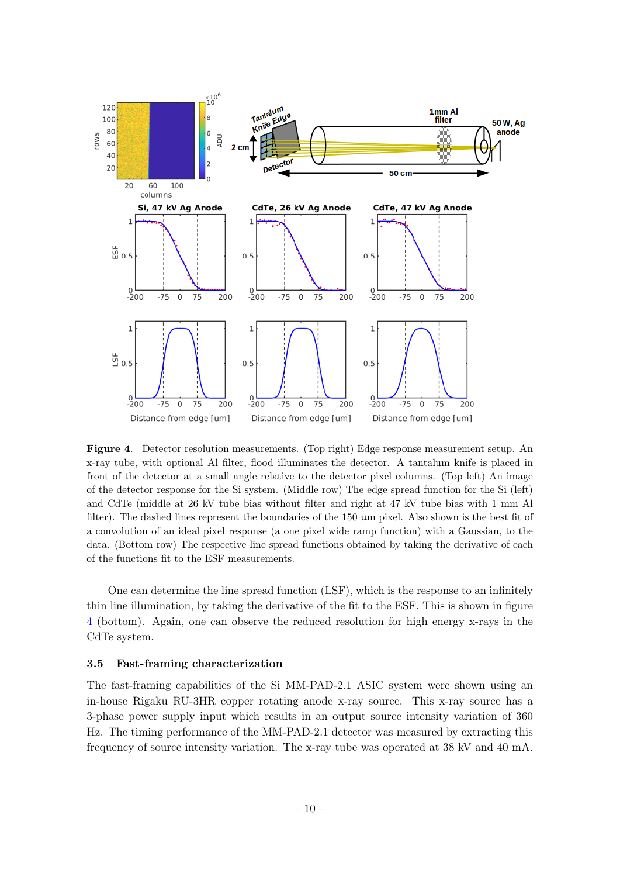

<span id="page-10-1"></span>Figure 4. Detector resolution measurements. (Top right) Edge response measurement setup. An x-ray tube, with optional Al filter, flood illuminates the detector. A tantalum knife is placed in front of the detector at a small angle relative to the detector pixel columns. (Top left) An image of the detector response for the Si system. (Middle row) The edge spread function for the Si (left) and CdTe (middle at 26 kV tube bias without filter and right at 47 kV tube bias with 1 mm Al filter). The dashed lines represent the boundaries of the  $150 \mu m$  pixel. Also shown is the best fit of a convolution of an ideal pixel response (a one pixel wide ramp function) with a Gaussian, to the data. (Bottom row) The respective line spread functions obtained by taking the derivative of each of the functions fit to the ESF measurements.

One can determine the line spread function (LSF), which is the response to an infinitely thin line illumination, by taking the derivative of the fit to the ESF. This is shown in figure [4](#page-10-1) (bottom). Again, one can observe the reduced resolution for high energy x-rays in the CdTe system.

#### <span id="page-10-0"></span>3.5 Fast-framing characterization

The fast-framing capabilities of the Si MM-PAD-2.1 ASIC system were shown using an in-house Rigaku RU-3HR copper rotating anode x-ray source. This x-ray source has a 3-phase power supply input which results in an output source intensity variation of 360 Hz. The timing performance of the MM-PAD-2.1 detector was measured by extracting this frequency of source intensity variation. The x-ray tube was operated at 38 kV and 40 mA.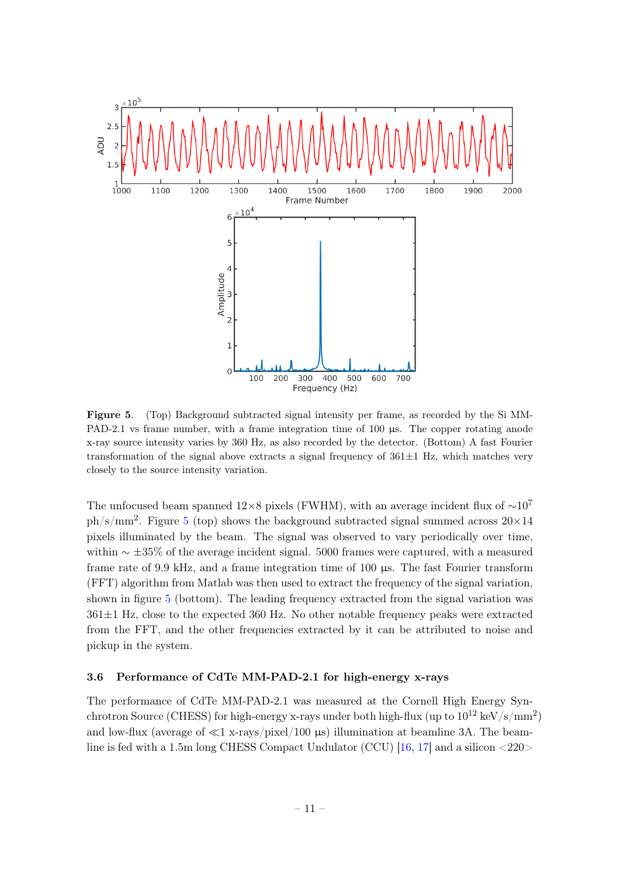

<span id="page-11-1"></span>Figure 5. (Top) Background subtracted signal intensity per frame, as recorded by the Si MM-PAD-2.1 vs frame number, with a frame integration time of 100 us. The copper rotating anode x-ray source intensity varies by 360 Hz, as also recorded by the detector. (Bottom) A fast Fourier transformation of the signal above extracts a signal frequency of  $361\pm1$  Hz, which matches very closely to the source intensity variation.

The unfocused beam spanned  $12\times8$  pixels (FWHM), with an average incident flux of  $\sim10^7$  $ph/s/mm^2$ . Figure [5](#page-11-1) (top) shows the background subtracted signal summed across  $20\times14$ pixels illuminated by the beam. The signal was observed to vary periodically over time, within  $\sim \pm 35\%$  of the average incident signal. 5000 frames were captured, with a measured frame rate of 9.9 kHz, and a frame integration time of 100 µs. The fast Fourier transform (FFT) algorithm from Matlab was then used to extract the frequency of the signal variation, shown in figure [5](#page-11-1) (bottom). The leading frequency extracted from the signal variation was  $361\pm1$  Hz, close to the expected 360 Hz. No other notable frequency peaks were extracted from the FFT, and the other frequencies extracted by it can be attributed to noise and pickup in the system.

#### <span id="page-11-0"></span>3.6 Performance of CdTe MM-PAD-2.1 for high-energy x-rays

The performance of CdTe MM-PAD-2.1 was measured at the Cornell High Energy Synchrotron Source (CHESS) for high-energy x-rays under both high-flux (up to  $10^{12}$  keV/s/mm<sup>2</sup>) and low-flux (average of  $\ll 1$  x-rays/pixel/100  $\mu$ s) illumination at beamline 3A. The beamline is fed with a 1.5m long CHESS Compact Undulator (CCU) [\[16,](#page-16-2) [17\]](#page-16-3) and a silicon <220>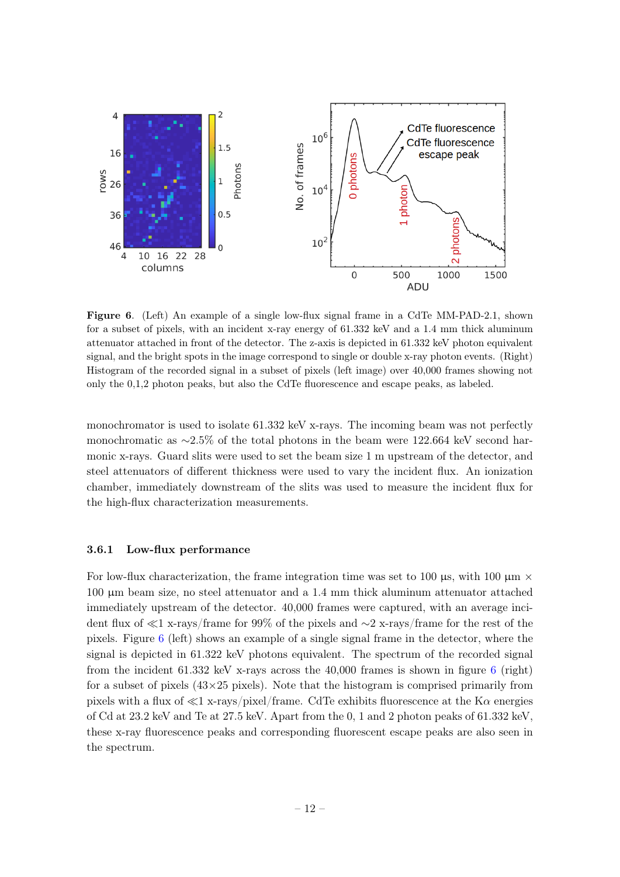

<span id="page-12-1"></span>Figure 6. (Left) An example of a single low-flux signal frame in a CdTe MM-PAD-2.1, shown for a subset of pixels, with an incident x-ray energy of 61.332 keV and a 1.4 mm thick aluminum attenuator attached in front of the detector. The z-axis is depicted in 61.332 keV photon equivalent signal, and the bright spots in the image correspond to single or double x-ray photon events. (Right) Histogram of the recorded signal in a subset of pixels (left image) over 40,000 frames showing not only the 0,1,2 photon peaks, but also the CdTe fluorescence and escape peaks, as labeled.

monochromator is used to isolate 61.332 keV x-rays. The incoming beam was not perfectly monochromatic as ∼2.5% of the total photons in the beam were 122.664 keV second harmonic x-rays. Guard slits were used to set the beam size 1 m upstream of the detector, and steel attenuators of different thickness were used to vary the incident flux. An ionization chamber, immediately downstream of the slits was used to measure the incident flux for the high-flux characterization measurements.

#### <span id="page-12-0"></span>3.6.1 Low-flux performance

For low-flux characterization, the frame integration time was set to 100  $\mu$ s, with 100  $\mu$ m  $\times$ 100 µm beam size, no steel attenuator and a 1.4 mm thick aluminum attenuator attached immediately upstream of the detector. 40,000 frames were captured, with an average incident flux of  $\ll$ 1 x-rays/frame for 99% of the pixels and ∼2 x-rays/frame for the rest of the pixels. Figure [6](#page-12-1) (left) shows an example of a single signal frame in the detector, where the signal is depicted in 61.322 keV photons equivalent. The spectrum of the recorded signal from the incident  $61.332 \text{ keV}$  $61.332 \text{ keV}$  x-rays across the  $40,000$  frames is shown in figure 6 (right) for a subset of pixels  $(43\times25$  pixels). Note that the histogram is comprised primarily from pixels with a flux of  $\ll 1$  x-rays/pixel/frame. CdTe exhibits fluorescence at the K $\alpha$  energies of Cd at 23.2 keV and Te at 27.5 keV. Apart from the 0, 1 and 2 photon peaks of 61.332 keV, these x-ray fluorescence peaks and corresponding fluorescent escape peaks are also seen in the spectrum.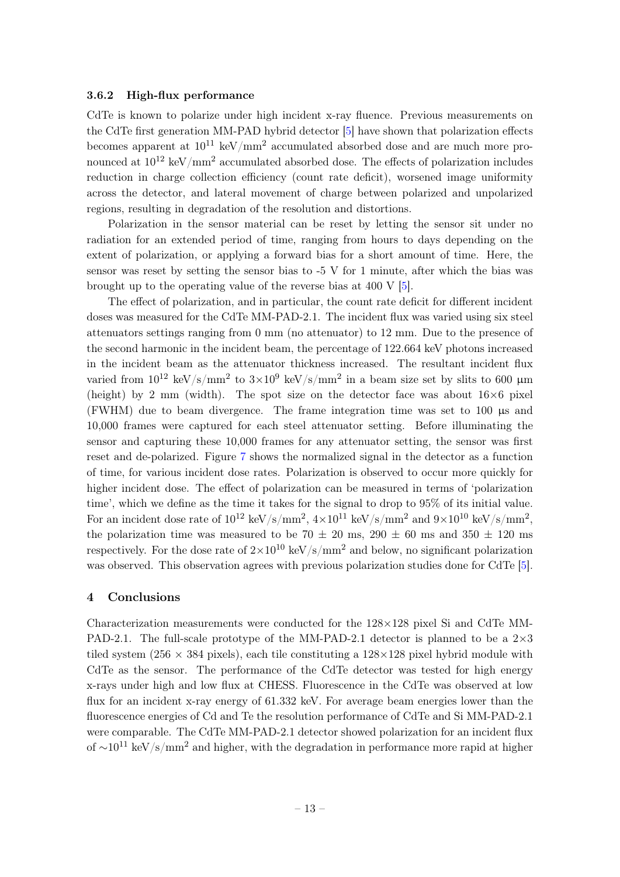#### <span id="page-13-0"></span>3.6.2 High-flux performance

CdTe is known to polarize under high incident x-ray fluence. Previous measurements on the CdTe first generation MM-PAD hybrid detector [\[5\]](#page-15-3) have shown that polarization effects becomes apparent at  $10^{11}$  keV/mm<sup>2</sup> accumulated absorbed dose and are much more pronounced at  $10^{12}$  keV/mm<sup>2</sup> accumulated absorbed dose. The effects of polarization includes reduction in charge collection efficiency (count rate deficit), worsened image uniformity across the detector, and lateral movement of charge between polarized and unpolarized regions, resulting in degradation of the resolution and distortions.

Polarization in the sensor material can be reset by letting the sensor sit under no radiation for an extended period of time, ranging from hours to days depending on the extent of polarization, or applying a forward bias for a short amount of time. Here, the sensor was reset by setting the sensor bias to -5 V for 1 minute, after which the bias was brought up to the operating value of the reverse bias at 400 V [\[5\]](#page-15-3).

The effect of polarization, and in particular, the count rate deficit for different incident doses was measured for the CdTe MM-PAD-2.1. The incident flux was varied using six steel attenuators settings ranging from 0 mm (no attenuator) to 12 mm. Due to the presence of the second harmonic in the incident beam, the percentage of 122.664 keV photons increased in the incident beam as the attenuator thickness increased. The resultant incident flux varied from  $10^{12}$  keV/s/mm<sup>2</sup> to  $3\times10^9$  keV/s/mm<sup>2</sup> in a beam size set by slits to 600  $\mu$ m (height) by 2 mm (width). The spot size on the detector face was about  $16\times6$  pixel (FWHM) due to beam divergence. The frame integration time was set to 100 µs and 10,000 frames were captured for each steel attenuator setting. Before illuminating the sensor and capturing these 10,000 frames for any attenuator setting, the sensor was first reset and de-polarized. Figure [7](#page-14-1) shows the normalized signal in the detector as a function of time, for various incident dose rates. Polarization is observed to occur more quickly for higher incident dose. The effect of polarization can be measured in terms of 'polarization time', which we define as the time it takes for the signal to drop to 95% of its initial value. For an incident dose rate of  $10^{12}$  keV/s/mm<sup>2</sup>,  $4\times10^{11}$  keV/s/mm<sup>2</sup> and  $9\times10^{10}$  keV/s/mm<sup>2</sup>, the polarization time was measured to be 70  $\pm$  20 ms, 290  $\pm$  60 ms and 350  $\pm$  120 ms respectively. For the dose rate of  $2\times10^{10}$  keV/s/mm<sup>2</sup> and below, no significant polarization was observed. This observation agrees with previous polarization studies done for CdTe [\[5\]](#page-15-3).

## <span id="page-13-1"></span>4 Conclusions

Characterization measurements were conducted for the 128×128 pixel Si and CdTe MM-PAD-2.1. The full-scale prototype of the MM-PAD-2.1 detector is planned to be a  $2\times3$ tiled system (256  $\times$  384 pixels), each tile constituting a 128 $\times$ 128 pixel hybrid module with CdTe as the sensor. The performance of the CdTe detector was tested for high energy x-rays under high and low flux at CHESS. Fluorescence in the CdTe was observed at low flux for an incident x-ray energy of 61.332 keV. For average beam energies lower than the fluorescence energies of Cd and Te the resolution performance of CdTe and Si MM-PAD-2.1 were comparable. The CdTe MM-PAD-2.1 detector showed polarization for an incident flux of  $\sim 10^{11}$  keV/s/mm<sup>2</sup> and higher, with the degradation in performance more rapid at higher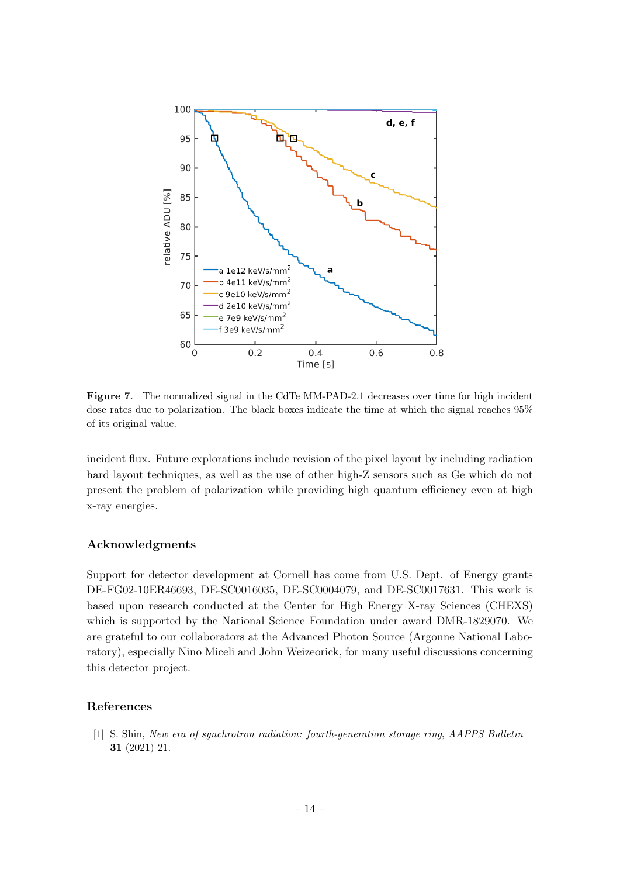

<span id="page-14-1"></span>Figure 7. The normalized signal in the CdTe MM-PAD-2.1 decreases over time for high incident dose rates due to polarization. The black boxes indicate the time at which the signal reaches 95% of its original value.

incident flux. Future explorations include revision of the pixel layout by including radiation hard layout techniques, as well as the use of other high-Z sensors such as Ge which do not present the problem of polarization while providing high quantum efficiency even at high x-ray energies.

# Acknowledgments

Support for detector development at Cornell has come from U.S. Dept. of Energy grants DE-FG02-10ER46693, DE-SC0016035, DE-SC0004079, and DE-SC0017631. This work is based upon research conducted at the Center for High Energy X-ray Sciences (CHEXS) which is supported by the National Science Foundation under award DMR-1829070. We are grateful to our collaborators at the Advanced Photon Source (Argonne National Laboratory), especially Nino Miceli and John Weizeorick, for many useful discussions concerning this detector project.

# References

<span id="page-14-0"></span>[1] S. Shin, New era of synchrotron radiation: fourth-generation storage ring, AAPPS Bulletin 31 (2021) 21.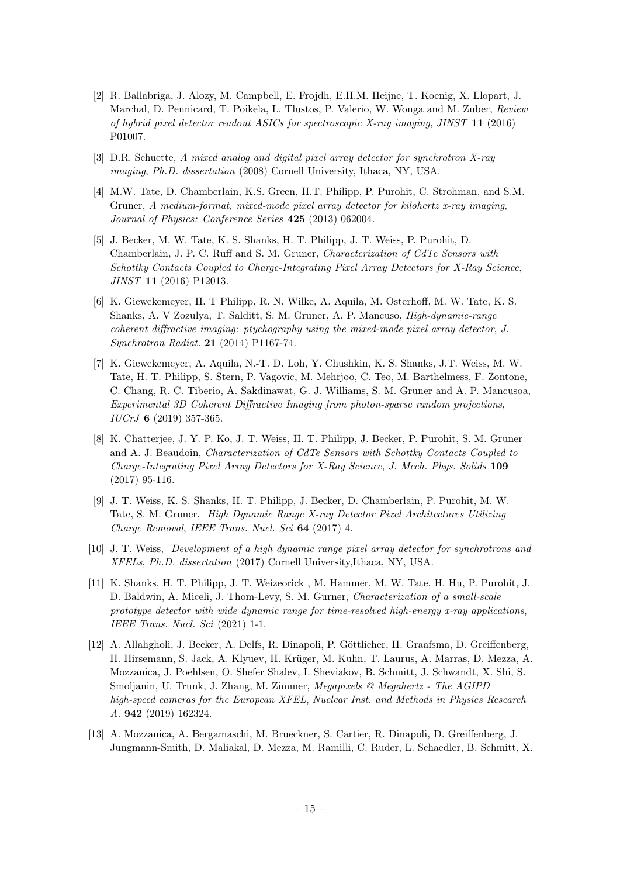- <span id="page-15-0"></span>[2] R. Ballabriga, J. Alozy, M. Campbell, E. Frojdh, E.H.M. Heijne, T. Koenig, X. Llopart, J. Marchal, D. Pennicard, T. Poikela, L. Tlustos, P. Valerio, W. Wonga and M. Zuber, Review of hybrid pixel detector readout ASICs for spectroscopic X-ray imaging, JINST 11 (2016) P01007.
- <span id="page-15-1"></span>[3] D.R. Schuette, A mixed analog and digital pixel array detector for synchrotron X-ray imaging, Ph.D. dissertation (2008) Cornell University, Ithaca, NY, USA.
- <span id="page-15-2"></span>[4] M.W. Tate, D. Chamberlain, K.S. Green, H.T. Philipp, P. Purohit, C. Strohman, and S.M. Gruner, A medium-format, mixed-mode pixel array detector for kilohertz x-ray imaging, Journal of Physics: Conference Series 425 (2013) 062004.
- <span id="page-15-3"></span>[5] J. Becker, M. W. Tate, K. S. Shanks, H. T. Philipp, J. T. Weiss, P. Purohit, D. Chamberlain, J. P. C. Ruff and S. M. Gruner, Characterization of CdTe Sensors with Schottky Contacts Coupled to Charge-Integrating Pixel Array Detectors for X-Ray Science, JINST 11 (2016) P12013.
- <span id="page-15-4"></span>[6] K. Giewekemeyer, H. T Philipp, R. N. Wilke, A. Aquila, M. Osterhoff, M. W. Tate, K. S. Shanks, A. V Zozulya, T. Salditt, S. M. Gruner, A. P. Mancuso, High-dynamic-range coherent diffractive imaging: ptychography using the mixed-mode pixel array detector, J. Synchrotron Radiat. 21 (2014) P1167-74.
- [7] K. Giewekemeyer, A. Aquila, N.-T. D. Loh, Y. Chushkin, K. S. Shanks, J.T. Weiss, M. W. Tate, H. T. Philipp, S. Stern, P. Vagovic, M. Mehrjoo, C. Teo, M. Barthelmess, F. Zontone, C. Chang, R. C. Tiberio, A. Sakdinawat, G. J. Williams, S. M. Gruner and A. P. Mancusoa, Experimental 3D Coherent Diffractive Imaging from photon-sparse random projections, IUCrJ 6 (2019) 357-365.
- <span id="page-15-5"></span>[8] K. Chatterjee, J. Y. P. Ko, J. T. Weiss, H. T. Philipp, J. Becker, P. Purohit, S. M. Gruner and A. J. Beaudoin, Characterization of CdTe Sensors with Schottky Contacts Coupled to Charge-Integrating Pixel Array Detectors for X-Ray Science, J. Mech. Phys. Solids 109 (2017) 95-116.
- <span id="page-15-6"></span>[9] J. T. Weiss, K. S. Shanks, H. T. Philipp, J. Becker, D. Chamberlain, P. Purohit, M. W. Tate, S. M. Gruner, High Dynamic Range X-ray Detector Pixel Architectures Utilizing Charge Removal, IEEE Trans. Nucl. Sci 64 (2017) 4.
- <span id="page-15-7"></span>[10] J. T. Weiss, Development of a high dynamic range pixel array detector for synchrotrons and XFELs, Ph.D. dissertation (2017) Cornell University,Ithaca, NY, USA.
- <span id="page-15-8"></span>[11] K. Shanks, H. T. Philipp, J. T. Weizeorick , M. Hammer, M. W. Tate, H. Hu, P. Purohit, J. D. Baldwin, A. Miceli, J. Thom-Levy, S. M. Gurner, Characterization of a small-scale prototype detector with wide dynamic range for time-resolved high-energy x-ray applications, IEEE Trans. Nucl. Sci (2021) 1-1.
- <span id="page-15-9"></span>[12] A. Allahgholi, J. Becker, A. Delfs, R. Dinapoli, P. Göttlicher, H. Graafsma, D. Greiffenberg, H. Hirsemann, S. Jack, A. Klyuev, H. Krüger, M. Kuhn, T. Laurus, A. Marras, D. Mezza, A. Mozzanica, J. Poehlsen, O. Shefer Shalev, I. Sheviakov, B. Schmitt, J. Schwandt, X. Shi, S. Smoljanin, U. Trunk, J. Zhang, M. Zimmer, Megapixels @ Megahertz - The AGIPD high-speed cameras for the European XFEL, Nuclear Inst. and Methods in Physics Research A. 942 (2019) 162324.
- <span id="page-15-10"></span>[13] A. Mozzanica, A. Bergamaschi, M. Brueckner, S. Cartier, R. Dinapoli, D. Greiffenberg, J. Jungmann-Smith, D. Maliakal, D. Mezza, M. Ramilli, C. Ruder, L. Schaedler, B. Schmitt, X.